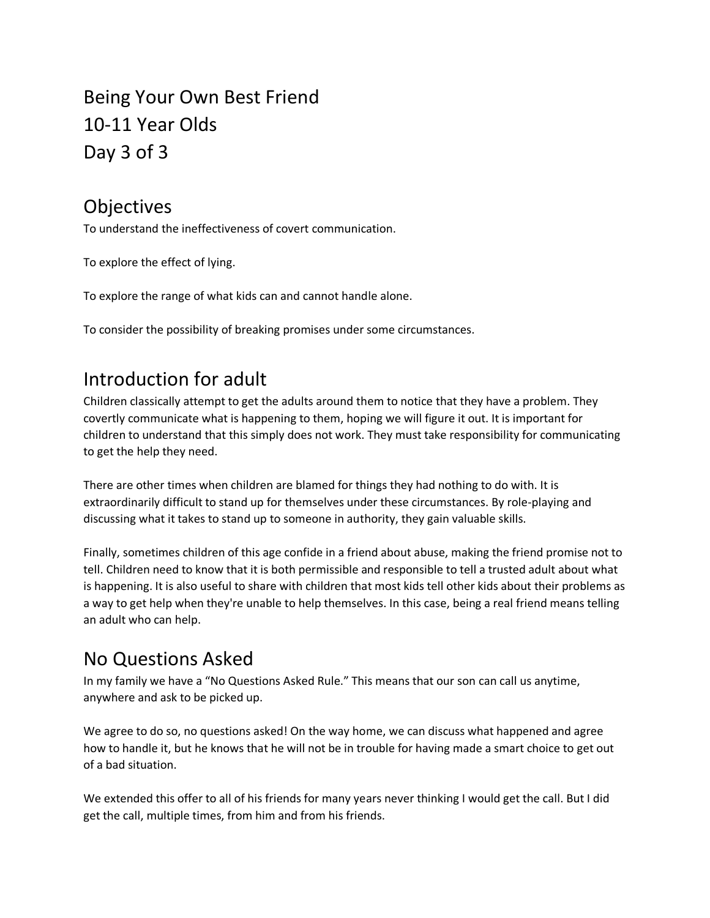Being Your Own Best Friend 10-11 Year Olds Day 3 of 3

### **Objectives**

To understand the ineffectiveness of covert communication.

To explore the effect of lying.

To explore the range of what kids can and cannot handle alone.

To consider the possibility of breaking promises under some circumstances.

## Introduction for adult

Children classically attempt to get the adults around them to notice that they have a problem. They covertly communicate what is happening to them, hoping we will figure it out. It is important for children to understand that this simply does not work. They must take responsibility for communicating to get the help they need.

There are other times when children are blamed for things they had nothing to do with. It is extraordinarily difficult to stand up for themselves under these circumstances. By role-playing and discussing what it takes to stand up to someone in authority, they gain valuable skills.

Finally, sometimes children of this age confide in a friend about abuse, making the friend promise not to tell. Children need to know that it is both permissible and responsible to tell a trusted adult about what is happening. It is also useful to share with children that most kids tell other kids about their problems as a way to get help when they're unable to help themselves. In this case, being a real friend means telling an adult who can help.

## No Questions Asked

In my family we have a "No Questions Asked Rule." This means that our son can call us anytime, anywhere and ask to be picked up.

We agree to do so, no questions asked! On the way home, we can discuss what happened and agree how to handle it, but he knows that he will not be in trouble for having made a smart choice to get out of a bad situation.

We extended this offer to all of his friends for many years never thinking I would get the call. But I did get the call, multiple times, from him and from his friends.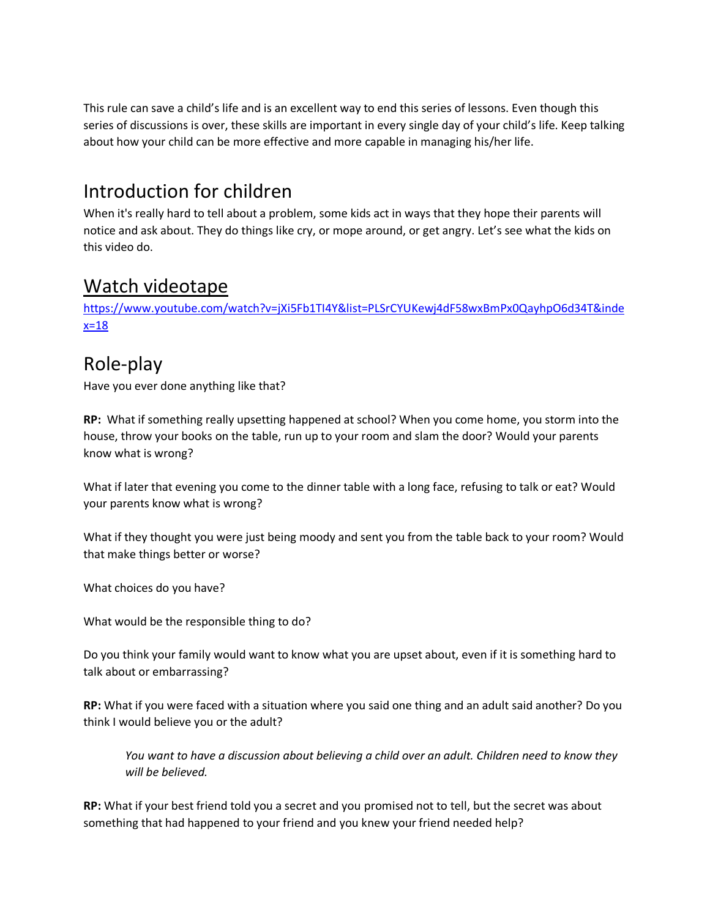This rule can save a child's life and is an excellent way to end this series of lessons. Even though this series of discussions is over, these skills are important in every single day of your child's life. Keep talking about how your child can be more effective and more capable in managing his/her life.

# Introduction for children

When it's really hard to tell about a problem, some kids act in ways that they hope their parents will notice and ask about. They do things like cry, or mope around, or get angry. Let's see what the kids on this video do.

#### Watch videotape

[https://www.youtube.com/watch?v=jXi5Fb1TI4Y&list=PLSrCYUKewj4dF58wxBmPx0QayhpO6d34T&inde](https://www.youtube.com/watch?v=jXi5Fb1TI4Y&list=PLSrCYUKewj4dF58wxBmPx0QayhpO6d34T&index=18)  $x=18$ 

### Role-play

Have you ever done anything like that?

**RP:** What if something really upsetting happened at school? When you come home, you storm into the house, throw your books on the table, run up to your room and slam the door? Would your parents know what is wrong?

What if later that evening you come to the dinner table with a long face, refusing to talk or eat? Would your parents know what is wrong?

What if they thought you were just being moody and sent you from the table back to your room? Would that make things better or worse?

What choices do you have?

What would be the responsible thing to do?

Do you think your family would want to know what you are upset about, even if it is something hard to talk about or embarrassing?

**RP:** What if you were faced with a situation where you said one thing and an adult said another? Do you think I would believe you or the adult?

*You want to have a discussion about believing a child over an adult. Children need to know they will be believed.* 

**RP:** What if your best friend told you a secret and you promised not to tell, but the secret was about something that had happened to your friend and you knew your friend needed help?